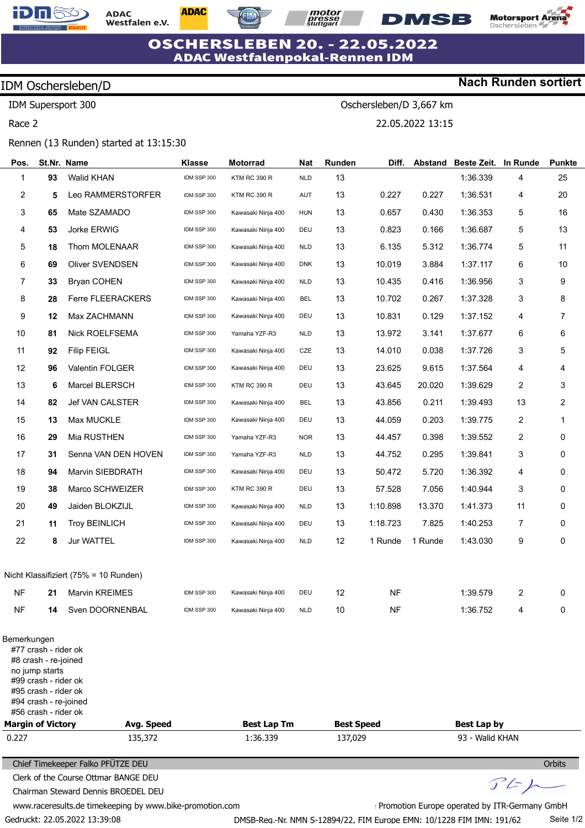

**ADAC** Westfalen e.V. **ADAC** 

**motor**<br>*presse*<br>*stuttgart* 

Oschersleben/D 3,667 km

22.05.2022 13:15



**Nach Runden sortiert**

### **OSCHERSLEBEN 20. - 22.05.2022 ADAC Westfalenpokal-Rennen IDM**

## IDM Oschersleben/D

IDM Supersport 300

Race 2

#### Rennen (13 Runden) started at 13:15:30

| Pos.                                             |                                                                                                                                                                 | St.Nr. Name                                                                 | <b>Klasse</b> | <b>Motorrad</b>                | <b>Nat</b> | Runden                       | Diff.     | <b>Abstand</b> | Beste Zeit.                           | In Runde                              | <b>Punkte</b> |
|--------------------------------------------------|-----------------------------------------------------------------------------------------------------------------------------------------------------------------|-----------------------------------------------------------------------------|---------------|--------------------------------|------------|------------------------------|-----------|----------------|---------------------------------------|---------------------------------------|---------------|
| 1                                                | 93                                                                                                                                                              | <b>Walid KHAN</b>                                                           | IDM SSP 300   | <b>KTM RC 390 R</b>            | <b>NLD</b> | 13                           |           |                | 1:36.339                              | 4                                     | 25            |
| 2                                                | 5                                                                                                                                                               | Leo RAMMERSTORFER                                                           | IDM SSP 300   | <b>KTM RC 390 R</b>            | AUT        | 13                           | 0.227     | 0.227          | 1:36.531                              | 4                                     | 20            |
| 3                                                | 65                                                                                                                                                              | Mate SZAMADO                                                                | IDM SSP 300   | Kawasaki Ninja 400             | <b>HUN</b> | 13                           | 0.657     | 0.430          | 1:36.353                              | 5                                     | 16            |
| 4                                                | 53                                                                                                                                                              | Jorke ERWIG                                                                 | IDM SSP 300   | Kawasaki Ninja 400             | DEU        | 13                           | 0.823     | 0.166          | 1:36.687                              | 5                                     | 13            |
| 5                                                | 18                                                                                                                                                              | Thom MOLENAAR                                                               | IDM SSP 300   | Kawasaki Ninja 400             | <b>NLD</b> | 13                           | 6.135     | 5.312          | 1:36.774                              | 5                                     | 11            |
| 6                                                | 69                                                                                                                                                              | Oliver SVENDSEN                                                             | IDM SSP 300   | Kawasaki Ninja 400             | <b>DNK</b> | 13                           | 10.019    | 3.884          | 1:37.117                              | 6                                     | 10            |
| 7                                                | 33                                                                                                                                                              | <b>Bryan COHEN</b>                                                          | IDM SSP 300   | Kawasaki Ninja 400             | <b>NLD</b> | 13                           | 10.435    | 0.416          | 1:36.956                              | 3                                     | 9             |
| 8                                                | 28                                                                                                                                                              | Ferre FLEERACKERS                                                           | IDM SSP 300   | Kawasaki Ninja 400             | <b>BEL</b> | 13                           | 10.702    | 0.267          | 1:37.328                              | 3                                     | 8             |
| 9                                                | 12                                                                                                                                                              | Max ZACHMANN                                                                | IDM SSP 300   | Kawasaki Ninja 400             | DEU        | 13                           | 10.831    | 0.129          | 1:37.152                              | 4                                     | 7             |
| 10                                               | 81                                                                                                                                                              | Nick ROELFSEMA                                                              | IDM SSP 300   | Yamaha YZF-R3                  | <b>NLD</b> | 13                           | 13.972    | 3.141          | 1:37.677                              | 6                                     | 6             |
| 11                                               | 92                                                                                                                                                              | <b>Filip FEIGL</b>                                                          | IDM SSP 300   | Kawasaki Ninja 400             | CZE        | 13                           | 14.010    | 0.038          | 1:37.726                              | 3                                     | 5             |
| 12                                               | 96                                                                                                                                                              | Valentin FOLGER                                                             | IDM SSP 300   | Kawasaki Ninja 400             | DEU        | 13                           | 23.625    | 9.615          | 1:37.564                              | 4                                     | 4             |
| 13                                               | 6                                                                                                                                                               | Marcel BLERSCH                                                              | IDM SSP 300   | <b>KTM RC 390 R</b>            | DEU        | 13                           | 43.645    | 20.020         | 1:39.629                              | 2                                     | 3             |
| 14                                               | 82                                                                                                                                                              | Jef VAN CALSTER                                                             | IDM SSP 300   | Kawasaki Ninja 400             | <b>BEL</b> | 13                           | 43.856    | 0.211          | 1:39.493                              | 13                                    | 2             |
| 15                                               | 13                                                                                                                                                              | Max MUCKLE                                                                  | IDM SSP 300   | Kawasaki Ninja 400             | DEU        | 13                           | 44.059    | 0.203          | 1:39.775                              | 2                                     | 1             |
| 16                                               | 29                                                                                                                                                              | Mia RUSTHEN                                                                 | IDM SSP 300   | Yamaha YZF-R3                  | <b>NOR</b> | 13                           | 44.457    | 0.398          | 1:39.552                              | $\overline{2}$                        | 0             |
| 17                                               | 31                                                                                                                                                              | Senna VAN DEN HOVEN                                                         | IDM SSP 300   | Yamaha YZF-R3                  | <b>NLD</b> | 13                           | 44.752    | 0.295          | 1:39.841                              | 3                                     | 0             |
| 18                                               | 94                                                                                                                                                              | Marvin SIEBDRATH                                                            | IDM SSP 300   | Kawasaki Ninja 400             | DEU        | 13                           | 50.472    | 5.720          | 1:36.392                              | 4                                     | 0             |
| 19                                               | 38                                                                                                                                                              | Marco SCHWEIZER                                                             | IDM SSP 300   | <b>KTM RC 390 R</b>            | DEU        | 13                           | 57.528    | 7.056          | 1:40.944                              | 3                                     | 0             |
| 20                                               | 49                                                                                                                                                              | Jaiden BLOKZIJL                                                             | IDM SSP 300   | Kawasaki Ninja 400             | <b>NLD</b> | 13                           | 1:10.898  | 13.370         | 1:41.373                              | 11                                    | 0             |
| 21                                               | 11                                                                                                                                                              | <b>Troy BEINLICH</b>                                                        | IDM SSP 300   | Kawasaki Ninja 400             | DEU        | 13                           | 1:18.723  | 7.825          | 1:40.253                              | 7                                     | 0             |
| 22                                               | 8                                                                                                                                                               | Jur WATTEL                                                                  | IDM SSP 300   | Kawasaki Ninja 400             | <b>NLD</b> | 12                           | 1 Runde   | 1 Runde        | 1:43.030                              | 9                                     | 0             |
|                                                  |                                                                                                                                                                 | Nicht Klassifiziert (75% = 10 Runden)                                       |               |                                |            |                              |           |                |                                       |                                       |               |
| <b>NF</b>                                        | 21                                                                                                                                                              | <b>Marvin KREIMES</b>                                                       | IDM SSP 300   | Kawasaki Ninja 400             | DEU        | 12                           | <b>NF</b> |                | 1:39.579                              | 2                                     | 0             |
| <b>NF</b>                                        | 14                                                                                                                                                              | Sven DOORNENBAL                                                             | IDM SSP 300   | Kawasaki Ninja 400             | <b>NLD</b> | 10                           | NF        |                | 1:36.752                              | 4                                     | 0             |
| Bemerkungen<br><b>Margin of Victory</b><br>0.227 | #77 crash - rider ok<br>#8 crash - re-joined<br>no jump starts<br>#99 crash - rider ok<br>#95 crash - rider ok<br>#94 crash - re-joined<br>#56 crash - rider ok | Avg. Speed<br>135,372                                                       |               | <b>Best Lap Tm</b><br>1:36.339 |            | <b>Best Speed</b><br>137,029 |           |                | <b>Best Lap by</b><br>93 - Walid KHAN |                                       |               |
|                                                  |                                                                                                                                                                 |                                                                             |               |                                |            |                              |           |                |                                       |                                       |               |
|                                                  |                                                                                                                                                                 | Chief Timekeeper Falko PFÜTZE DEU                                           |               |                                |            |                              |           |                |                                       |                                       | Orbits        |
|                                                  |                                                                                                                                                                 | Clerk of the Course Ottmar BANGE DEU<br>Chairman Steward Dennis BROEDEL DEU |               |                                |            |                              |           |                |                                       | $\mathcal{F} \mathcal{L} \rightarrow$ |               |

www.raceresults.de timekeeping by www.bike-promotion.com

Gedruckt: 22.05.2022 13:39:08

Promotion Europe operated by ITR-Germany GmbH DMSB-Reg.-Nr. NMN S-12894/22, FIM Europe EMN: 10/1228 FIM IMN: 191/62